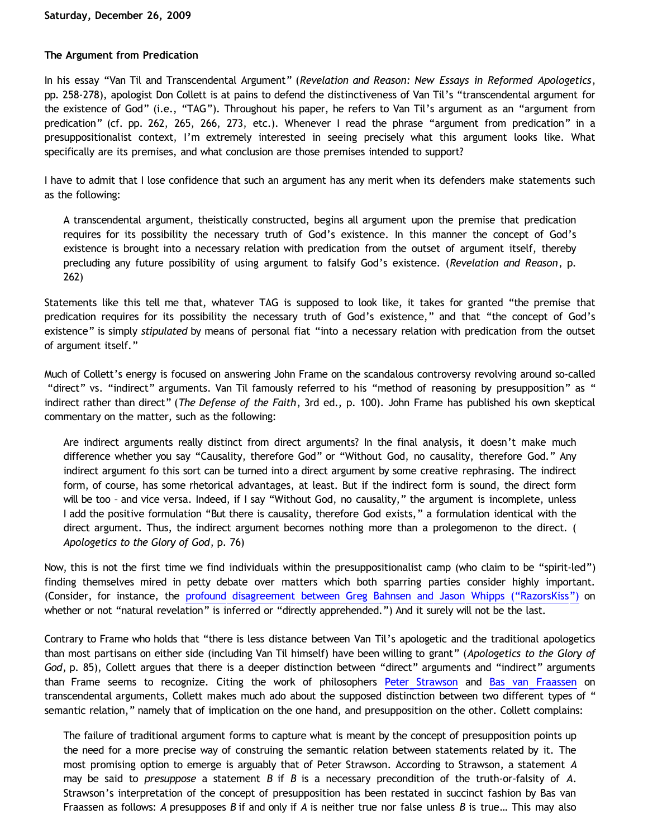### **The Argument from Predication**

In his essay "Van Til and Transcendental Argument" (*Revelation and Reason: New Essays in Reformed Apologetics*, pp. 258-278), apologist Don Collett is at pains to defend the distinctiveness of Van Til's "transcendental argument for the existence of God" (i.e., "TAG"). Throughout his paper, he refers to Van Til's argument as an "argument from predication" (cf. pp. 262, 265, 266, 273, etc.). Whenever I read the phrase "argument from predication" in a presuppositionalist context, I'm extremely interested in seeing precisely what this argument looks like. What specifically are its premises, and what conclusion are those premises intended to support?

I have to admit that I lose confidence that such an argument has any merit when its defenders make statements such as the following:

A transcendental argument, theistically constructed, begins all argument upon the premise that predication requires for its possibility the necessary truth of God's existence. In this manner the concept of God's existence is brought into a necessary relation with predication from the outset of argument itself, thereby precluding any future possibility of using argument to falsify God's existence. (*Revelation and Reason*, p. 262)

Statements like this tell me that, whatever TAG is supposed to look like, it takes for granted "the premise that predication requires for its possibility the necessary truth of God's existence," and that "the concept of God's existence" is simply *stipulated* by means of personal fiat "into a necessary relation with predication from the outset of argument itself."

Much of Collett's energy is focused on answering John Frame on the scandalous controversy revolving around so-called "direct" vs. "indirect" arguments. Van Til famously referred to his "method of reasoning by presupposition" as " indirect rather than direct" (*The Defense of the Faith*, 3rd ed., p. 100). John Frame has published his own skeptical commentary on the matter, such as the following:

Are indirect arguments really distinct from direct arguments? In the final analysis, it doesn't make much difference whether you say "Causality, therefore God" or "Without God, no causality, therefore God." Any indirect argument fo this sort can be turned into a direct argument by some creative rephrasing. The indirect form, of course, has some rhetorical advantages, at least. But if the indirect form is sound, the direct form will be too – and vice versa. Indeed, if I say "Without God, no causality," the argument is incomplete, unless I add the positive formulation "But there is causality, therefore God exists," a formulation identical with the direct argument. Thus, the indirect argument becomes nothing more than a prolegomenon to the direct. ( *Apologetics to the Glory of God*, p. 76)

Now, this is not the first time we find individuals within the presuppositionalist camp (who claim to be "spirit-led") finding themselves mired in petty debate over matters which both sparring parties consider highly important. (Consider, for instance, the [profound disagreement between Greg Bahnsen and Jason Whipps \("RazorsKiss"\)](http://bahnsenburner.blogspot.com/2009/09/natural-revelation-direct-apprehension.html) on whether or not "natural revelation" is inferred or "directly apprehended.") And it surely will not be the last.

Contrary to Frame who holds that "there is less distance between Van Til's apologetic and the traditional apologetics than most partisans on either side (including Van Til himself) have been willing to grant" (*Apologetics to the Glory of God*, p. 85), Collett argues that there is a deeper distinction between "direct" arguments and "indirect" arguments than Frame seems to recognize. Citing the work of philosophers [Peter Strawson](http://www.informationphilosopher.com/solutions/philosophers/strawson/) and [Bas van Fraassen](http://www.princeton.edu/~fraassen/) on transcendental arguments, Collett makes much ado about the supposed distinction between two different types of " semantic relation," namely that of implication on the one hand, and presupposition on the other. Collett complains:

The failure of traditional argument forms to capture what is meant by the concept of presupposition points up the need for a more precise way of construing the semantic relation between statements related by it. The most promising option to emerge is arguably that of Peter Strawson. According to Strawson, a statement *A* may be said to *presuppose* a statement *B* if *B* is a necessary precondition of the truth-or-falsity of *A*. Strawson's interpretation of the concept of presupposition has been restated in succinct fashion by Bas van Fraassen as follows: *A* presupposes *B* if and only if *A* is neither true nor false unless *B* is true… This may also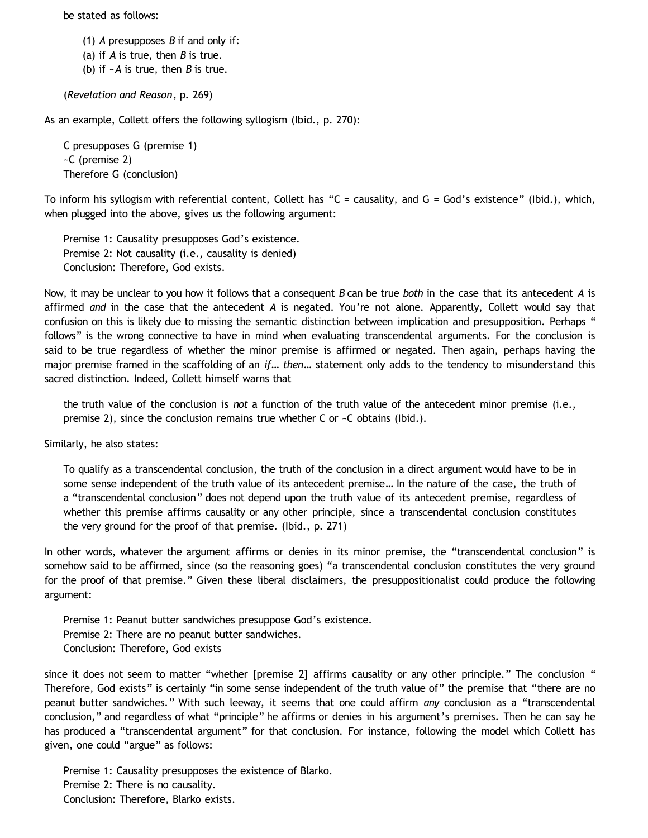be stated as follows:

(1) *A* presupposes *B* if and only if:

(a) if *A* is true, then *B* is true.

(b) if ~*A* is true, then *B* is true.

(*Revelation and Reason*, p. 269)

As an example, Collett offers the following syllogism (Ibid., p. 270):

C presupposes G (premise 1) ~C (premise 2) Therefore G (conclusion)

To inform his syllogism with referential content, Collett has "C = causality, and G = God's existence" (Ibid.), which, when plugged into the above, gives us the following argument:

Premise 1: Causality presupposes God's existence. Premise 2: Not causality (i.e., causality is denied) Conclusion: Therefore, God exists.

Now, it may be unclear to you how it follows that a consequent *B* can be true *both* in the case that its antecedent *A* is affirmed *and* in the case that the antecedent *A* is negated. You're not alone. Apparently, Collett would say that confusion on this is likely due to missing the semantic distinction between implication and presupposition. Perhaps " follows" is the wrong connective to have in mind when evaluating transcendental arguments. For the conclusion is said to be true regardless of whether the minor premise is affirmed or negated. Then again, perhaps having the major premise framed in the scaffolding of an *if… then…* statement only adds to the tendency to misunderstand this sacred distinction. Indeed, Collett himself warns that

the truth value of the conclusion is *not* a function of the truth value of the antecedent minor premise (i.e., premise 2), since the conclusion remains true whether C or ~C obtains (Ibid.).

Similarly, he also states:

To qualify as a transcendental conclusion, the truth of the conclusion in a direct argument would have to be in some sense independent of the truth value of its antecedent premise… In the nature of the case, the truth of a "transcendental conclusion" does not depend upon the truth value of its antecedent premise, regardless of whether this premise affirms causality or any other principle, since a transcendental conclusion constitutes the very ground for the proof of that premise. (Ibid., p. 271)

In other words, whatever the argument affirms or denies in its minor premise, the "transcendental conclusion" is somehow said to be affirmed, since (so the reasoning goes) "a transcendental conclusion constitutes the very ground for the proof of that premise." Given these liberal disclaimers, the presuppositionalist could produce the following argument:

Premise 1: Peanut butter sandwiches presuppose God's existence. Premise 2: There are no peanut butter sandwiches. Conclusion: Therefore, God exists

since it does not seem to matter "whether [premise 2] affirms causality or any other principle." The conclusion " Therefore, God exists" is certainly "in some sense independent of the truth value of" the premise that "there are no peanut butter sandwiches." With such leeway, it seems that one could affirm *any* conclusion as a "transcendental conclusion," and regardless of what "principle" he affirms or denies in his argument's premises. Then he can say he has produced a "transcendental argument" for that conclusion. For instance, following the model which Collett has given, one could "argue" as follows:

Premise 1: Causality presupposes the existence of Blarko. Premise 2: There is no causality. Conclusion: Therefore, Blarko exists.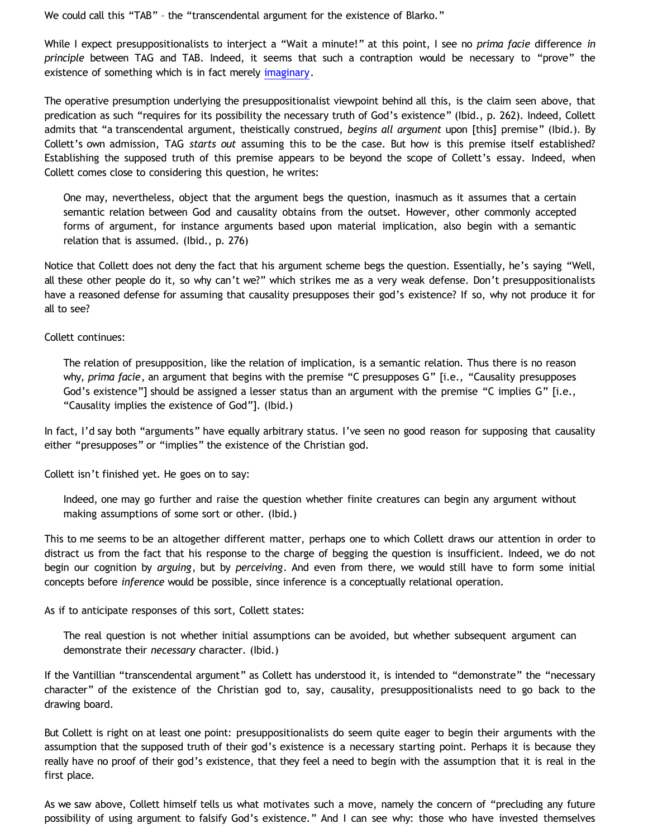We could call this "TAB" – the "transcendental argument for the existence of Blarko."

While I expect presuppositionalists to interject a "Wait a minute!" at this point, I see no *prima facie* difference *in principle* between TAG and TAB. Indeed, it seems that such a contraption would be necessary to "prove" the existence of something which is in fact merely [imaginary](http://bahnsenburner.blogspot.com/search/label/imagination).

The operative presumption underlying the presuppositionalist viewpoint behind all this, is the claim seen above, that predication as such "requires for its possibility the necessary truth of God's existence" (Ibid., p. 262). Indeed, Collett admits that "a transcendental argument, theistically construed, *begins all argument* upon [this] premise" (Ibid.). By Collett's own admission, TAG *starts out* assuming this to be the case. But how is this premise itself established? Establishing the supposed truth of this premise appears to be beyond the scope of Collett's essay. Indeed, when Collett comes close to considering this question, he writes:

One may, nevertheless, object that the argument begs the question, inasmuch as it assumes that a certain semantic relation between God and causality obtains from the outset. However, other commonly accepted forms of argument, for instance arguments based upon material implication, also begin with a semantic relation that is assumed. (Ibid., p. 276)

Notice that Collett does not deny the fact that his argument scheme begs the question. Essentially, he's saying "Well, all these other people do it, so why can't we?" which strikes me as a very weak defense. Don't presuppositionalists have a reasoned defense for assuming that causality presupposes their god's existence? If so, why not produce it for all to see?

Collett continues:

The relation of presupposition, like the relation of implication, is a semantic relation. Thus there is no reason why, *prima facie*, an argument that begins with the premise "C presupposes G" [i.e., "Causality presupposes God's existence"] should be assigned a lesser status than an argument with the premise "C implies G" [i.e., "Causality implies the existence of God"]. (Ibid.)

In fact, I'd say both "arguments" have equally arbitrary status. I've seen no good reason for supposing that causality either "presupposes" or "implies" the existence of the Christian god.

Collett isn't finished yet. He goes on to say:

Indeed, one may go further and raise the question whether finite creatures can begin any argument without making assumptions of some sort or other. (Ibid.)

This to me seems to be an altogether different matter, perhaps one to which Collett draws our attention in order to distract us from the fact that his response to the charge of begging the question is insufficient. Indeed, we do not begin our cognition by *arguing*, but by *perceiving*. And even from there, we would still have to form some initial concepts before *inference* would be possible, since inference is a conceptually relational operation.

As if to anticipate responses of this sort, Collett states:

The real question is not whether initial assumptions can be avoided, but whether subsequent argument can demonstrate their *necessary* character. (Ibid.)

If the Vantillian "transcendental argument" as Collett has understood it, is intended to "demonstrate" the "necessary character" of the existence of the Christian god to, say, causality, presuppositionalists need to go back to the drawing board.

But Collett is right on at least one point: presuppositionalists do seem quite eager to begin their arguments with the assumption that the supposed truth of their god's existence is a necessary starting point. Perhaps it is because they really have no proof of their god's existence, that they feel a need to begin with the assumption that it is real in the first place.

As we saw above, Collett himself tells us what motivates such a move, namely the concern of "precluding any future possibility of using argument to falsify God's existence." And I can see why: those who have invested themselves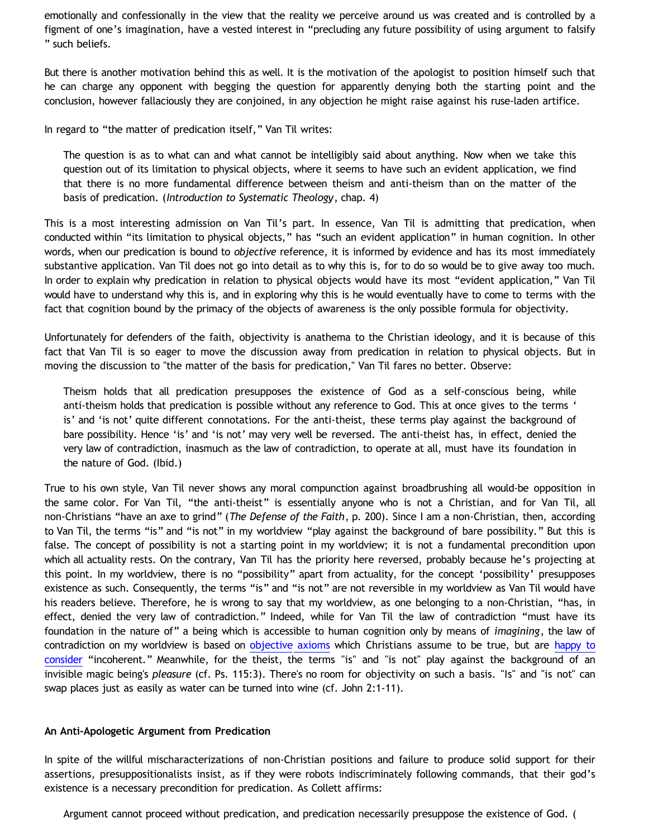emotionally and confessionally in the view that the reality we perceive around us was created and is controlled by a figment of one's imagination, have a vested interest in "precluding any future possibility of using argument to falsify " such beliefs.

But there is another motivation behind this as well. It is the motivation of the apologist to position himself such that he can charge any opponent with begging the question for apparently denying both the starting point and the conclusion, however fallaciously they are conjoined, in any objection he might raise against his ruse-laden artifice.

In regard to "the matter of predication itself," Van Til writes:

The question is as to what can and what cannot be intelligibly said about anything. Now when we take this question out of its limitation to physical objects, where it seems to have such an evident application, we find that there is no more fundamental difference between theism and anti-theism than on the matter of the basis of predication. (*Introduction to Systematic Theology*, chap. 4)

This is a most interesting admission on Van Til's part. In essence, Van Til is admitting that predication, when conducted within "its limitation to physical objects," has "such an evident application" in human cognition. In other words, when our predication is bound to *objective* reference, it is informed by evidence and has its most immediately substantive application. Van Til does not go into detail as to why this is, for to do so would be to give away too much. In order to explain why predication in relation to physical objects would have its most "evident application," Van Til would have to understand why this is, and in exploring why this is he would eventually have to come to terms with the fact that cognition bound by the primacy of the objects of awareness is the only possible formula for objectivity.

Unfortunately for defenders of the faith, objectivity is anathema to the Christian ideology, and it is because of this fact that Van Til is so eager to move the discussion away from predication in relation to physical objects. But in moving the discussion to "the matter of the basis for predication," Van Til fares no better. Observe:

Theism holds that all predication presupposes the existence of God as a self-conscious being, while anti-theism holds that predication is possible without any reference to God. This at once gives to the terms ' is' and 'is not' quite different connotations. For the anti-theist, these terms play against the background of bare possibility. Hence 'is' and 'is not' may very well be reversed. The anti-theist has, in effect, denied the very law of contradiction, inasmuch as the law of contradiction, to operate at all, must have its foundation in the nature of God. (Ibid.)

True to his own style, Van Til never shows any moral compunction against broadbrushing all would-be opposition in the same color. For Van Til, "the anti-theist" is essentially anyone who is not a Christian, and for Van Til, all non-Christians "have an axe to grind" (*The Defense of the Faith*, p. 200). Since I am a non-Christian, then, according to Van Til, the terms "is" and "is not" in my worldview "play against the background of bare possibility." But this is false. The concept of possibility is not a starting point in my worldview; it is not a fundamental precondition upon which all actuality rests. On the contrary, Van Til has the priority here reversed, probably because he's projecting at this point. In my worldview, there is no "possibility" apart from actuality, for the concept 'possibility' presupposes existence as such. Consequently, the terms "is" and "is not" are not reversible in my worldview as Van Til would have his readers believe. Therefore, he is wrong to say that my worldview, as one belonging to a non-Christian, "has, in effect, denied the very law of contradiction." Indeed, while for Van Til the law of contradiction "must have its foundation in the nature of" a being which is accessible to human cognition only by means of *imagining*, the law of contradiction on my worldview is based on [objective axioms](http://bahnsenburner.blogspot.com/2009/08/razorskiss-on-christian-god-as-basis-of_28.html) which Christians assume to be true, but are [happy to](http://bahnsenburner.blogspot.com/2009/09/can-water-in-my-drinking-glass-turn.html) [consider](http://bahnsenburner.blogspot.com/2009/09/can-water-in-my-drinking-glass-turn.html) "incoherent." Meanwhile, for the theist, the terms "is" and "is not" play against the background of an invisible magic being's *pleasure* (cf. Ps. 115:3). There's no room for objectivity on such a basis. "Is" and "is not" can swap places just as easily as water can be turned into wine (cf. John 2:1-11).

### **An Anti-Apologetic Argument from Predication**

In spite of the willful mischaracterizations of non-Christian positions and failure to produce solid support for their assertions, presuppositionalists insist, as if they were robots indiscriminately following commands, that their god's existence is a necessary precondition for predication. As Collett affirms:

Argument cannot proceed without predication, and predication necessarily presuppose the existence of God. (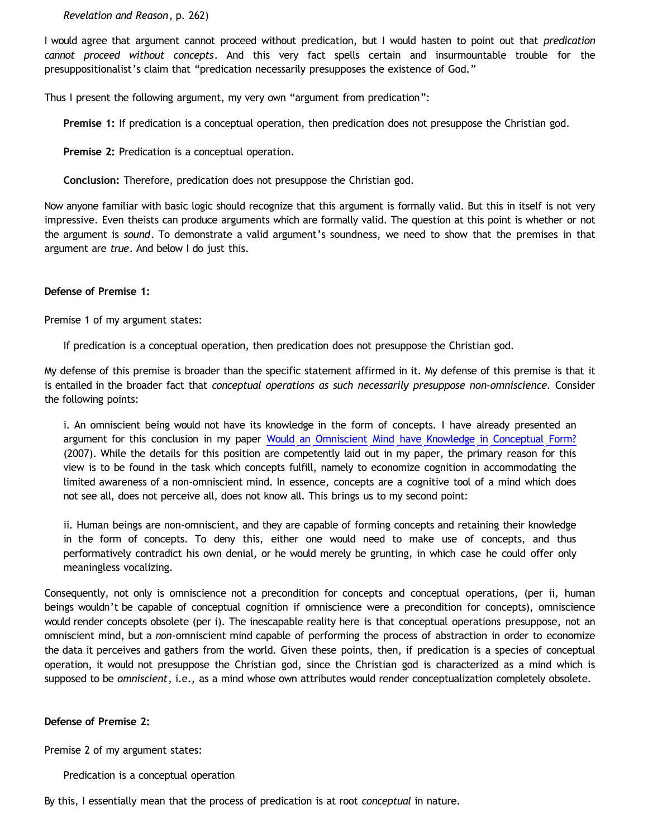*Revelation and Reason*, p. 262)

I would agree that argument cannot proceed without predication, but I would hasten to point out that *predication cannot proceed without concepts*. And this very fact spells certain and insurmountable trouble for the presuppositionalist's claim that "predication necessarily presupposes the existence of God."

Thus I present the following argument, my very own "argument from predication":

**Premise 1:** If predication is a conceptual operation, then predication does not presuppose the Christian god.

**Premise 2:** Predication is a conceptual operation.

**Conclusion:** Therefore, predication does not presuppose the Christian god.

Now anyone familiar with basic logic should recognize that this argument is formally valid. But this in itself is not very impressive. Even theists can produce arguments which are formally valid. The question at this point is whether or not the argument is *sound*. To demonstrate a valid argument's soundness, we need to show that the premises in that argument are *true*. And below I do just this.

## **Defense of Premise 1:**

Premise 1 of my argument states:

If predication is a conceptual operation, then predication does not presuppose the Christian god.

My defense of this premise is broader than the specific statement affirmed in it. My defense of this premise is that it is entailed in the broader fact that *conceptual operations as such necessarily presuppose non-omniscience.* Consider the following points:

i. An omniscient being would not have its knowledge in the form of concepts. I have already presented an argument for this conclusion in my paper [Would an Omniscient Mind have Knowledge in Conceptual Form?](http://bahnsenburner.blogspot.com/2007/04/would-omniscient-mind-have-knowledge-in.html) (2007). While the details for this position are competently laid out in my paper, the primary reason for this view is to be found in the task which concepts fulfill, namely to economize cognition in accommodating the limited awareness of a non-omniscient mind. In essence, concepts are a cognitive tool of a mind which does not see all, does not perceive all, does not know all. This brings us to my second point:

ii. Human beings are non-omniscient, and they are capable of forming concepts and retaining their knowledge in the form of concepts. To deny this, either one would need to make use of concepts, and thus performatively contradict his own denial, or he would merely be grunting, in which case he could offer only meaningless vocalizing.

Consequently, not only is omniscience not a precondition for concepts and conceptual operations, (per ii, human beings wouldn't be capable of conceptual cognition if omniscience were a precondition for concepts), omniscience would render concepts obsolete (per i). The inescapable reality here is that conceptual operations presuppose, not an omniscient mind, but a *non*-omniscient mind capable of performing the process of abstraction in order to economize the data it perceives and gathers from the world. Given these points, then, if predication is a species of conceptual operation, it would not presuppose the Christian god, since the Christian god is characterized as a mind which is supposed to be *omniscient*, i.e., as a mind whose own attributes would render conceptualization completely obsolete.

# **Defense of Premise 2:**

Premise 2 of my argument states:

Predication is a conceptual operation

By this, I essentially mean that the process of predication is at root *conceptual* in nature.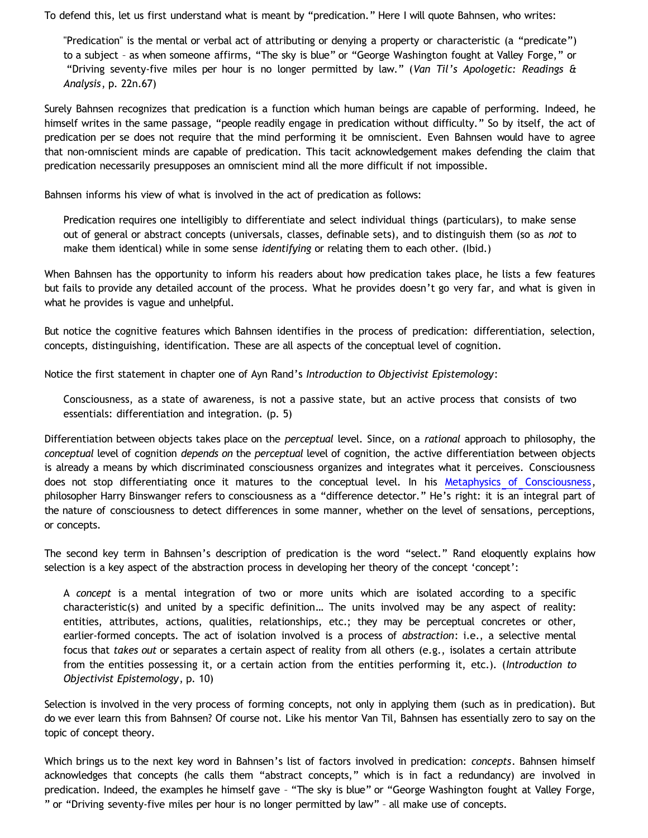To defend this, let us first understand what is meant by "predication." Here I will quote Bahnsen, who writes:

"Predication" is the mental or verbal act of attributing or denying a property or characteristic (a "predicate") to a subject – as when someone affirms, "The sky is blue" or "George Washington fought at Valley Forge," or "Driving seventy-five miles per hour is no longer permitted by law." (*Van Til's Apologetic: Readings & Analysis*, p. 22n.67)

Surely Bahnsen recognizes that predication is a function which human beings are capable of performing. Indeed, he himself writes in the same passage, "people readily engage in predication without difficulty." So by itself, the act of predication per se does not require that the mind performing it be omniscient. Even Bahnsen would have to agree that non-omniscient minds are capable of predication. This tacit acknowledgement makes defending the claim that predication necessarily presupposes an omniscient mind all the more difficult if not impossible.

Bahnsen informs his view of what is involved in the act of predication as follows:

Predication requires one intelligibly to differentiate and select individual things (particulars), to make sense out of general or abstract concepts (universals, classes, definable sets), and to distinguish them (so as *not* to make them identical) while in some sense *identifying* or relating them to each other. (Ibid.)

When Bahnsen has the opportunity to inform his readers about how predication takes place, he lists a few features but fails to provide any detailed account of the process. What he provides doesn't go very far, and what is given in what he provides is vague and unhelpful.

But notice the cognitive features which Bahnsen identifies in the process of predication: differentiation, selection, concepts, distinguishing, identification. These are all aspects of the conceptual level of cognition.

Notice the first statement in chapter one of Ayn Rand's *Introduction to Objectivist Epistemology*:

Consciousness, as a state of awareness, is not a passive state, but an active process that consists of two essentials: differentiation and integration. (p. 5)

Differentiation between objects takes place on the *perceptual* level. Since, on a *rational* approach to philosophy, the *conceptual* level of cognition *depends on* the *perceptual* level of cognition, the active differentiation between objects is already a means by which discriminated consciousness organizes and integrates what it perceives. Consciousness does not stop differentiating once it matures to the conceptual level. In his [Metaphysics of Consciousness,](http://www.aynrandbookstore2.com/prodinfo.asp?number=CB56M) philosopher Harry Binswanger refers to consciousness as a "difference detector." He's right: it is an integral part of the nature of consciousness to detect differences in some manner, whether on the level of sensations, perceptions, or concepts.

The second key term in Bahnsen's description of predication is the word "select." Rand eloquently explains how selection is a key aspect of the abstraction process in developing her theory of the concept 'concept':

A *concept* is a mental integration of two or more units which are isolated according to a specific characteristic(s) and united by a specific definition… The units involved may be any aspect of reality: entities, attributes, actions, qualities, relationships, etc.; they may be perceptual concretes or other, earlier-formed concepts. The act of isolation involved is a process of *abstraction*: i.e., a selective mental focus that *takes out* or separates a certain aspect of reality from all others (e.g., isolates a certain attribute from the entities possessing it, or a certain action from the entities performing it, etc.). (*Introduction to Objectivist Epistemology*, p. 10)

Selection is involved in the very process of forming concepts, not only in applying them (such as in predication). But do we ever learn this from Bahnsen? Of course not. Like his mentor Van Til, Bahnsen has essentially zero to say on the topic of concept theory.

Which brings us to the next key word in Bahnsen's list of factors involved in predication: *concepts*. Bahnsen himself acknowledges that concepts (he calls them "abstract concepts," which is in fact a redundancy) are involved in predication. Indeed, the examples he himself gave – "The sky is blue" or "George Washington fought at Valley Forge, " or "Driving seventy-five miles per hour is no longer permitted by law" – all make use of concepts.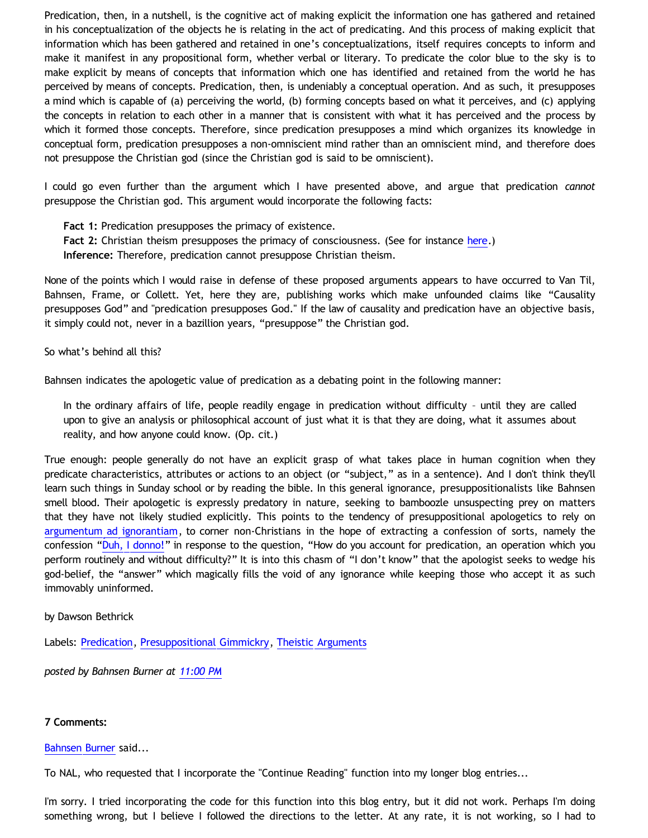Predication, then, in a nutshell, is the cognitive act of making explicit the information one has gathered and retained in his conceptualization of the objects he is relating in the act of predicating. And this process of making explicit that information which has been gathered and retained in one's conceptualizations, itself requires concepts to inform and make it manifest in any propositional form, whether verbal or literary. To predicate the color blue to the sky is to make explicit by means of concepts that information which one has identified and retained from the world he has perceived by means of concepts. Predication, then, is undeniably a conceptual operation. And as such, it presupposes a mind which is capable of (a) perceiving the world, (b) forming concepts based on what it perceives, and (c) applying the concepts in relation to each other in a manner that is consistent with what it has perceived and the process by which it formed those concepts. Therefore, since predication presupposes a mind which organizes its knowledge in conceptual form, predication presupposes a non-omniscient mind rather than an omniscient mind, and therefore does not presuppose the Christian god (since the Christian god is said to be omniscient).

I could go even further than the argument which I have presented above, and argue that predication *cannot* presuppose the Christian god. This argument would incorporate the following facts:

**Fact 1:** Predication presupposes the primacy of existence.

**Fact 2:** Christian theism presupposes the primacy of consciousness. (See for instance [here](http://bahnsenburner.blogspot.com/2008/12/inherent-subjectivism-of-god-belief.html).)

**Inference:** Therefore, predication cannot presuppose Christian theism.

None of the points which I would raise in defense of these proposed arguments appears to have occurred to Van Til, Bahnsen, Frame, or Collett. Yet, here they are, publishing works which make unfounded claims like "Causality presupposes God" and "predication presupposes God." If the law of causality and predication have an objective basis, it simply could not, never in a bazillion years, "presuppose" the Christian god.

So what's behind all this?

Bahnsen indicates the apologetic value of predication as a debating point in the following manner:

In the ordinary affairs of life, people readily engage in predication without difficulty – until they are called upon to give an analysis or philosophical account of just what it is that they are doing, what it assumes about reality, and how anyone could know. (Op. cit.)

True enough: people generally do not have an explicit grasp of what takes place in human cognition when they predicate characteristics, attributes or actions to an object (or "subject," as in a sentence). And I don't think they'll learn such things in Sunday school or by reading the bible. In this general ignorance, presuppositionalists like Bahnsen smell blood. Their apologetic is expressly predatory in nature, seeking to bamboozle unsuspecting prey on matters that they have not likely studied explicitly. This points to the tendency of presuppositional apologetics to rely on [argumentum ad ignorantiam,](http://bahnsenburner.blogspot.com/2006/02/presuppositionalism-and-argument-from.html) to corner non-Christians in the hope of extracting a confession of sorts, namely the confession "[Duh, I donno!](http://www.katholon.com/duh15.wav)" in response to the question, "How do you account for predication, an operation which you perform routinely and without difficulty?" It is into this chasm of "I don't know" that the apologist seeks to wedge his god-belief, the "answer" which magically fills the void of any ignorance while keeping those who accept it as such immovably uninformed.

# by Dawson Bethrick

Labels: [Predication](http://bahnsenburner.blogspot.com/search/label/Predication), [Presuppositional Gimmickry](http://bahnsenburner.blogspot.com/search/label/Presuppositional%20Gimmickry), [Theistic Arguments](http://bahnsenburner.blogspot.com/search/label/Theistic%20Arguments)

*posted by Bahnsen Burner at [11:00 PM](http://bahnsenburner.blogspot.com/2009/12/argument-from-predication.html)*

# **7 Comments:**

[Bahnsen Burner](http://www.blogger.com/profile/11030029491768748360) said...

To NAL, who requested that I incorporate the "Continue Reading" function into my longer blog entries...

I'm sorry. I tried incorporating the code for this function into this blog entry, but it did not work. Perhaps I'm doing something wrong, but I believe I followed the directions to the letter. At any rate, it is not working, so I had to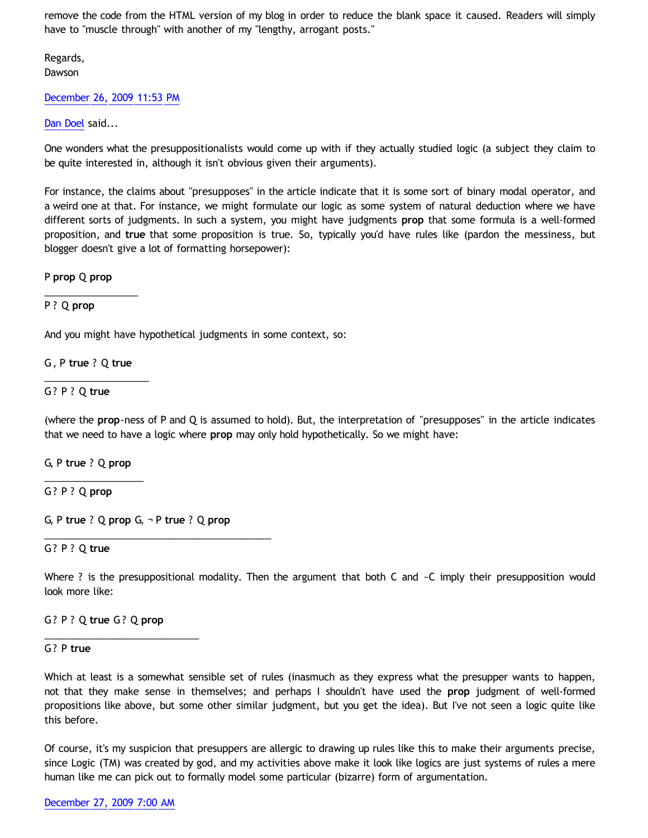remove the code from the HTML version of my blog in order to reduce the blank space it caused. Readers will simply have to "muscle through" with another of my "lengthy, arrogant posts."

Regards, Dawson

### [December 26, 2009 11:53 PM](http://bahnsenburner.blogspot.com/2009/12/2536630521012306669)

## [Dan Doel](http://www.blogger.com/profile/16761291400347369301) said...

One wonders what the presuppositionalists would come up with if they actually studied logic (a subject they claim to be quite interested in, although it isn't obvious given their arguments).

For instance, the claims about "presupposes" in the article indicate that it is some sort of binary modal operator, and a weird one at that. For instance, we might formulate our logic as some system of natural deduction where we have different sorts of judgments. In such a system, you might have judgments **prop** that some formula is a well-formed proposition, and **true** that some proposition is true. So, typically you'd have rules like (pardon the messiness, but blogger doesn't give a lot of formatting horsepower):

P **prop** Q **prop**

\_\_\_\_\_\_\_\_\_\_\_\_\_\_\_\_\_

## P ? Q **prop**

And you might have hypothetical judgments in some context, so:

G , P **true** ? Q **true**

\_\_\_\_\_\_\_\_\_\_\_\_\_\_\_\_\_\_\_

## G? P ? Q **true**

(where the **prop**-ness of P and Q is assumed to hold). But, the interpretation of "presupposes" in the article indicates that we need to have a logic where **prop** may only hold hypothetically. So we might have:

G, P **true** ? Q **prop** \_\_\_\_\_\_\_\_\_\_\_\_\_\_\_\_\_\_

G? P ? Q **prop**

G, P **true** ? Q **prop** G, ¬ P **true** ? Q **prop**

\_\_\_\_\_\_\_\_\_\_\_\_\_\_\_\_\_\_\_\_\_\_\_\_\_\_\_\_\_\_\_\_\_\_\_\_\_\_\_\_\_

### G? P ? Q **true**

Where ? is the presuppositional modality. Then the argument that both C and  $\sim$ C imply their presupposition would look more like:

### G? P ? Q **true** G? Q **prop**

\_\_\_\_\_\_\_\_\_\_\_\_\_\_\_\_\_\_\_\_\_\_\_\_\_\_\_\_

### G? P **true**

Which at least is a somewhat sensible set of rules (inasmuch as they express what the presupper wants to happen, not that they make sense in themselves; and perhaps I shouldn't have used the **prop** judgment of well-formed propositions like above, but some other similar judgment, but you get the idea). But I've not seen a logic quite like this before.

Of course, it's my suspicion that presuppers are allergic to drawing up rules like this to make their arguments precise, since Logic (TM) was created by god, and my activities above make it look like logics are just systems of rules a mere human like me can pick out to formally model some particular (bizarre) form of argumentation.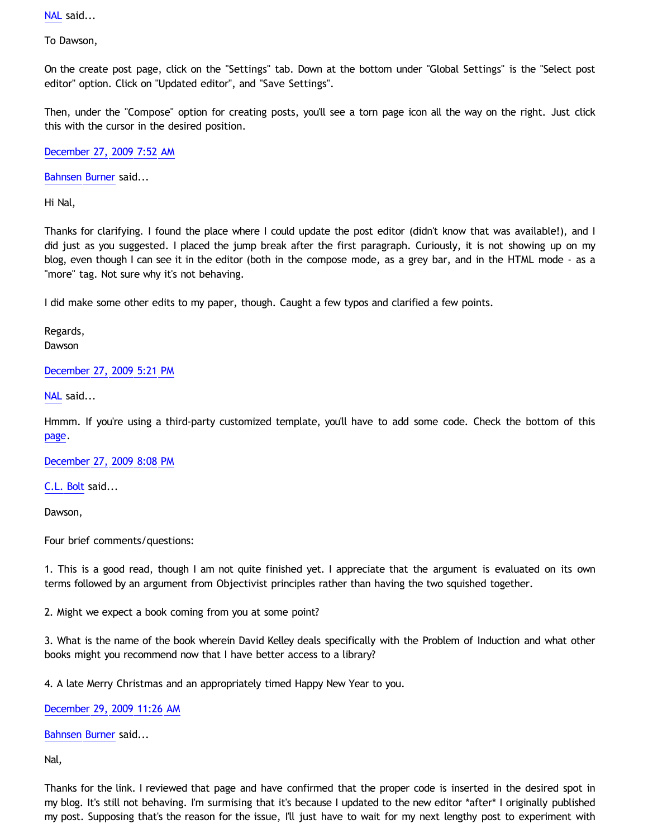[NAL](http://www.blogger.com/profile/12244370945682162312) said...

To Dawson,

On the create post page, click on the "Settings" tab. Down at the bottom under "Global Settings" is the "Select post editor" option. Click on "Updated editor", and "Save Settings".

Then, under the "Compose" option for creating posts, you'll see a torn page icon all the way on the right. Just click this with the cursor in the desired position.

[December 27, 2009 7:52 AM](http://bahnsenburner.blogspot.com/2009/12/4265840983088586052)

[Bahnsen Burner](http://www.blogger.com/profile/11030029491768748360) said...

Hi Nal,

Thanks for clarifying. I found the place where I could update the post editor (didn't know that was available!), and I did just as you suggested. I placed the jump break after the first paragraph. Curiously, it is not showing up on my blog, even though I can see it in the editor (both in the compose mode, as a grey bar, and in the HTML mode - as a "more" tag. Not sure why it's not behaving.

I did make some other edits to my paper, though. Caught a few typos and clarified a few points.

Regards, **Dawson** 

[December 27, 2009 5:21 PM](http://bahnsenburner.blogspot.com/2009/12/4456638603147306109)

[NAL](http://www.blogger.com/profile/12244370945682162312) said...

Hmmm. If you're using a third-party customized template, you'll have to add some code. Check the bottom of this [page](http://www.google.com/support/blogger/bin/answer.py?answer=154172).

[December 27, 2009 8:08 PM](http://bahnsenburner.blogspot.com/2009/12/550672756091357188)

[C.L. Bolt](http://www.blogger.com/profile/15797112064238146744) said...

Dawson,

Four brief comments/questions:

1. This is a good read, though I am not quite finished yet. I appreciate that the argument is evaluated on its own terms followed by an argument from Objectivist principles rather than having the two squished together.

2. Might we expect a book coming from you at some point?

3. What is the name of the book wherein David Kelley deals specifically with the Problem of Induction and what other books might you recommend now that I have better access to a library?

4. A late Merry Christmas and an appropriately timed Happy New Year to you.

[December 29, 2009 11:26 AM](http://bahnsenburner.blogspot.com/2009/12/2211176174766446354)

[Bahnsen Burner](http://www.blogger.com/profile/11030029491768748360) said...

Nal,

Thanks for the link. I reviewed that page and have confirmed that the proper code is inserted in the desired spot in my blog. It's still not behaving. I'm surmising that it's because I updated to the new editor \*after\* I originally published my post. Supposing that's the reason for the issue, I'll just have to wait for my next lengthy post to experiment with